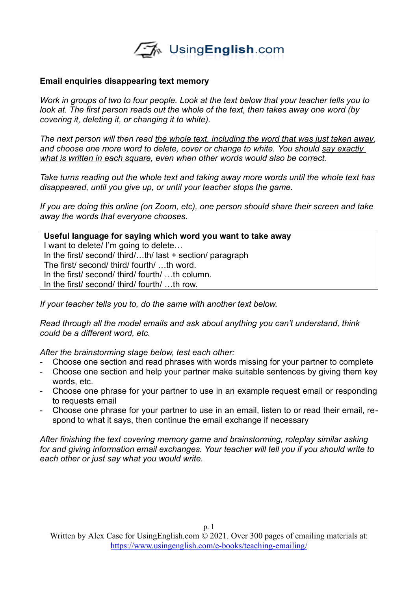

#### **Email enquiries disappearing text memory**

*Work in groups of two to four people. Look at the text below that your teacher tells you to look at. The first person reads out the whole of the text, then takes away one word (by covering it, deleting it, or changing it to white).* 

*The next person will then read the whole text, including the word that was just taken away, and choose one more word to delete, cover or change to white. You should say exactly what is written in each square, even when other words would also be correct.* 

*Take turns reading out the whole text and taking away more words until the whole text has disappeared, until you give up, or until your teacher stops the game.* 

*If you are doing this online (on Zoom, etc), one person should share their screen and take away the words that everyone chooses.*

**Useful language for saying which word you want to take away** I want to delete/ I'm going to delete… In the first/ second/ third/…th/ last + section/ paragraph The first/ second/ third/ fourth/ …th word. In the first/ second/ third/ fourth/ …th column. In the first/ second/ third/ fourth/ …th row.

*If your teacher tells you to, do the same with another text below.*

*Read through all the model emails and ask about anything you can't understand, think could be a different word, etc.* 

*After the brainstorming stage below, test each other:*

- Choose one section and read phrases with words missing for your partner to complete
- Choose one section and help your partner make suitable sentences by giving them key words, etc.
- Choose one phrase for your partner to use in an example request email or responding to requests email
- Choose one phrase for your partner to use in an email, listen to or read their email, respond to what it says, then continue the email exchange if necessary

*After finishing the text covering memory game and brainstorming, roleplay similar asking for and giving information email exchanges. Your teacher will tell you if you should write to each other or just say what you would write.*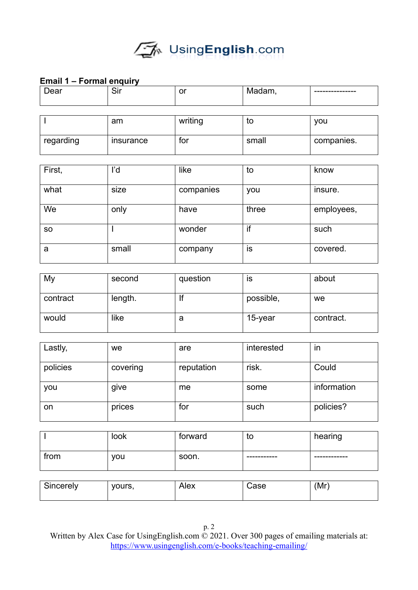### **Email 1 – Formal enquiry**

| Dear | $\mathcal{L}$<br>ווט | or | $\sim$<br>iviauai II, | --------------- |
|------|----------------------|----|-----------------------|-----------------|
|      |                      |    |                       |                 |

|           | am               | writing | tc    | vou        |
|-----------|------------------|---------|-------|------------|
| regarding | <b>Insurance</b> | tor     | small | companies. |

| First,    | ľd    | like      | to    | know       |
|-----------|-------|-----------|-------|------------|
| what      | size  | companies | you   | insure.    |
| We        | only  | have      | three | employees, |
| <b>SO</b> |       | wonder    | if    | such       |
| a         | small | company   | is    | covered.   |

| My       | second  | question | IS        | about     |
|----------|---------|----------|-----------|-----------|
| contract | length. |          | possible, | we        |
| would    | like    | a        | 15-year   | contract. |

| Lastly,  | we       | are        | interested | $\mathsf{I}$ |
|----------|----------|------------|------------|--------------|
| policies | covering | reputation | risk.      | Could        |
| you      | give     | me         | some       | information  |
| on       | prices   | for        | such       | policies?    |

|      | look       | forward | to          | hearing      |
|------|------------|---------|-------------|--------------|
| from | <b>VOU</b> | soon.   | ----------- | ------------ |

| . Cir<br>ncerelv<br>וור | yours, | Nex | 'nп.<br>odst | (Mr) |
|-------------------------|--------|-----|--------------|------|
|                         |        |     |              |      |

Written by Alex Case for UsingEnglish.com  $\stackrel{\leftarrow}{\odot}$  2021. Over 300 pages of emailing materials at: <https://www.usingenglish.com/e-books/teaching-emailing/>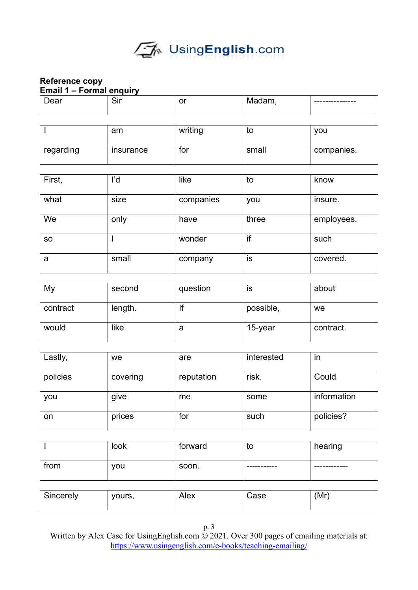# **Reference copy Email 1 – Formal enquiry**

| Dear | ווט | $\sim$ | ---<br> | ---------------- |
|------|-----|--------|---------|------------------|
|      |     |        |         |                  |

|           | am               | writing | to    | vou        |
|-----------|------------------|---------|-------|------------|
| regarding | <b>Insurance</b> | tor     | small | companies. |

| First,    | ľd    | like      | to    | know       |
|-----------|-------|-----------|-------|------------|
| what      | size  | companies | you   | insure.    |
| We        | only  | have      | three | employees, |
| <b>SO</b> |       | wonder    | if    | such       |
| a         | small | company   | is    | covered.   |

| My       | second  | question | IS        | about     |
|----------|---------|----------|-----------|-----------|
| contract | length. |          | possible, | we        |
| would    | like    | a        | 15-year   | contract. |

| Lastly,  | we       | are        | interested | $\mathsf{I}$ |
|----------|----------|------------|------------|--------------|
| policies | covering | reputation | risk.      | Could        |
| you      | give     | me         | some       | information  |
| on       | prices   | for        | such       | policies?    |

|      | look       | forward | to          | hearing      |
|------|------------|---------|-------------|--------------|
| from | <b>VOU</b> | soon.   | ----------- | ------------ |

| $\sim$<br>yours,<br>cerely | _<br>៶៲៴៱ | 15C | (Mr) |  |
|----------------------------|-----------|-----|------|--|
|----------------------------|-----------|-----|------|--|

p. 3

Written by Alex Case for UsingEnglish.com © 2021. Over 300 pages of emailing materials at: <https://www.usingenglish.com/e-books/teaching-emailing/>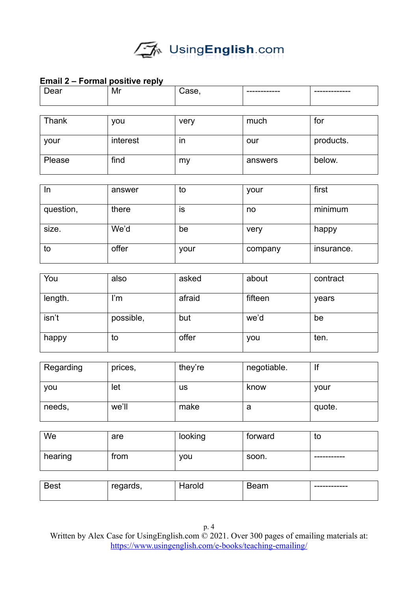### **Email 2 – Formal positive reply**

| Dear  | - -<br>Mr | Case, | ------------ | ------------- |
|-------|-----------|-------|--------------|---------------|
| Thank | you       | very  | much         | for           |

| your   | interest | ın | our     | products. |
|--------|----------|----|---------|-----------|
| Please | find     | mv | answers | below.    |

| In        | answer | to   | your    | first      |
|-----------|--------|------|---------|------------|
| question, | there  | IS   | no      | minimum    |
| size.     | We'd   | be   | very    | happy      |
| to        | offer  | your | company | insurance. |

| You     | also      | asked  | about   | contract |
|---------|-----------|--------|---------|----------|
| length. | ľm        | afraid | fifteen | years    |
| isn't   | possible, | but    | we'd    | be       |
| happy   | to        | offer  | you     | ten.     |

| Regarding | prices, | they're   | negotiable. |        |
|-----------|---------|-----------|-------------|--------|
| you       | let     | <b>us</b> | know        | your   |
| needs,    | we'll   | make      | а           | quote. |

| We      | are  | looking    | forward | τo          |
|---------|------|------------|---------|-------------|
| hearing | trom | <b>VOU</b> | soon.   | ----------- |

| - | ັ | שוי | ------------ |
|---|---|-----|--------------|
|   |   |     |              |

Written by Alex Case for UsingEnglish.com  $\stackrel{\leftarrow}{\odot}$  2021. Over 300 pages of emailing materials at: <https://www.usingenglish.com/e-books/teaching-emailing/>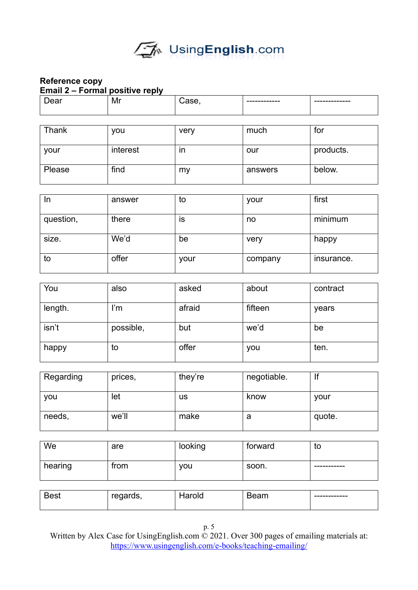# **Reference copy Email 2 – Formal positive reply**

| Dear   | Mr       | Case, |         |           |
|--------|----------|-------|---------|-----------|
|        |          |       |         |           |
| Thank  | you      | very  | much    | for       |
| your   | interest | in    | our     | products. |
| Please | find     | my    | answers | below.    |
|        |          |       |         |           |

| In        | answer | to   | your    | first      |
|-----------|--------|------|---------|------------|
| question, | there  | IS   | no      | minimum    |
| size.     | We'd   | be   | very    | happy      |
| to        | offer  | your | company | insurance. |

| You     | also      | asked  | about   | contract |
|---------|-----------|--------|---------|----------|
| length. | ľm        | afraid | fifteen | years    |
| isn't   | possible, | but    | we'd    | be       |
| happy   | to        | offer  | you     | ten.     |

| Regarding | prices, | they're | negotiable. | н      |
|-----------|---------|---------|-------------|--------|
| you       | let     | us      | know        | your   |
| needs,    | we'll   | make    | а           | quote. |

| We      | are  | looking | forward | to          |
|---------|------|---------|---------|-------------|
| hearing | from | you     | soon.   | ----------- |

| ົ<br>$\overline{\phantom{0}}$ | . . | ------------- |
|-------------------------------|-----|---------------|
|                               |     |               |

p. 5

Written by Alex Case for UsingEnglish.com  $\dot{\odot}$  2021. Over 300 pages of emailing materials at: <https://www.usingenglish.com/e-books/teaching-emailing/>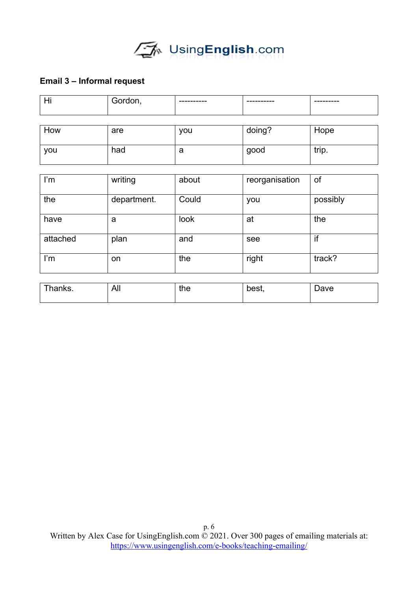

### **Email 3 – Informal request**

| Hi  | Gordon, |     |        |       |
|-----|---------|-----|--------|-------|
| How | are     | you | doing? | Hope  |
| you | had     | а   | good   | trip. |

| I'm      | writing     | about | reorganisation | of       |
|----------|-------------|-------|----------------|----------|
| the      | department. | Could | you            | possibly |
| have     | a           | look  | at             | the      |
| attached | plan        | and   | see            | if       |
| I'm      | on          | the   | right          | track?   |

| $\sim$<br>≧anks.<br>____ | All | <u>ີ່</u> h∆<br><b>UIC</b> | hest | 've |
|--------------------------|-----|----------------------------|------|-----|
|--------------------------|-----|----------------------------|------|-----|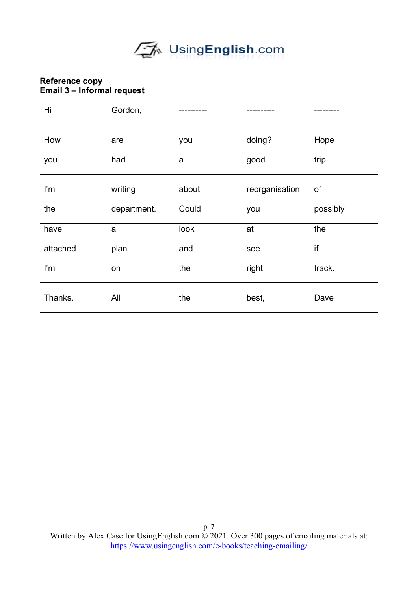

#### **Reference copy Email 3 – Informal request**

| Hi       | Gordon,     |       |                |          |
|----------|-------------|-------|----------------|----------|
|          |             |       |                |          |
| How      | are         | you   | doing?         | Hope     |
| you      | had         | a     | good           | trip.    |
|          |             |       |                |          |
| I'm      | writing     | about | reorganisation | of       |
| the      | department. | Could | you            | possibly |
| have     | a           | look  | at             | the      |
| attached | plan        | and   | see            | if       |
| I'm      | on          | the   | right          | track.   |
|          |             |       |                |          |
| Thanks.  | All         | the   | best,          | Dave     |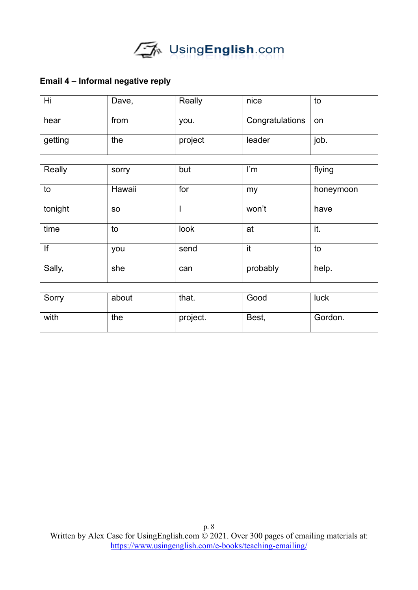### **Email 4 – Informal negative reply**

| Hi      | Dave, | Really  | nice                   | τo   |
|---------|-------|---------|------------------------|------|
| hear    | trom  | vou.    | Congratulations $ $ on |      |
| getting | the   | project | leader                 | job. |

| Really  | sorry     | but  | I'm      | flying    |
|---------|-----------|------|----------|-----------|
| to      | Hawaii    | for  | my       | honeymoon |
| tonight | <b>SO</b> |      | won't    | have      |
| time    | to        | look | at       | it.       |
| If      | you       | send | it       | to        |
| Sally,  | she       | can  | probably | help.     |

| Sorry | about | that.    | Good  | luck    |
|-------|-------|----------|-------|---------|
| with  | the   | project. | Best, | Gordon. |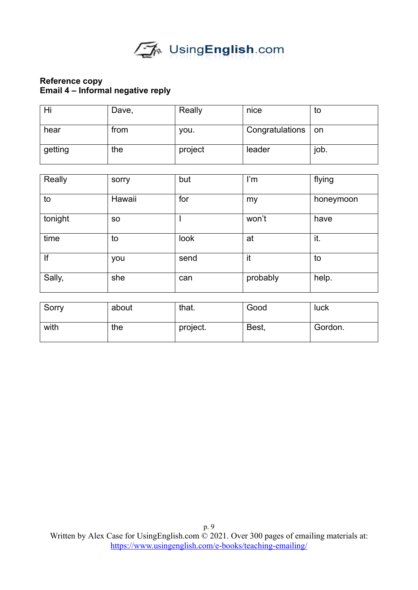

#### **Reference copy Email 4 – Informal negative reply**

| Hi      | Dave, | Really  | nice            | τo   |
|---------|-------|---------|-----------------|------|
| hear    | from  | you.    | Congratulations | on   |
| getting | the   | project | leader          | job. |

| Really  | sorry     | but  | $\mathsf{I}'\mathsf{m}$ | flying    |
|---------|-----------|------|-------------------------|-----------|
| to      | Hawaii    | for  | my                      | honeymoon |
| tonight | <b>SO</b> |      | won't                   | have      |
| time    | to        | look | at                      | it.       |
| If      | you       | send | it                      | to        |
| Sally,  | she       | can  | probably                | help.     |

| Sorry | about | that.    | Good  | luck    |
|-------|-------|----------|-------|---------|
| with  | the   | project. | Best, | Gordon. |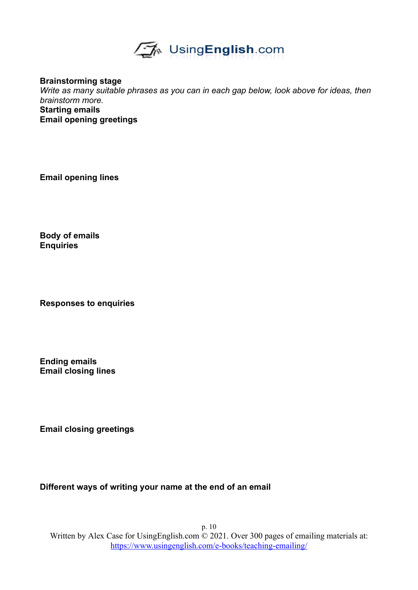

**Brainstorming stage** *Write as many suitable phrases as you can in each gap below, look above for ideas, then brainstorm more.*  **Starting emails Email opening greetings**

**Email opening lines**

**Body of emails Enquiries**

**Responses to enquiries**

**Ending emails Email closing lines**

**Email closing greetings**

**Different ways of writing your name at the end of an email**

p. 10 Written by Alex Case for UsingEnglish.com © 2021. Over 300 pages of emailing materials at: <https://www.usingenglish.com/e-books/teaching-emailing/>